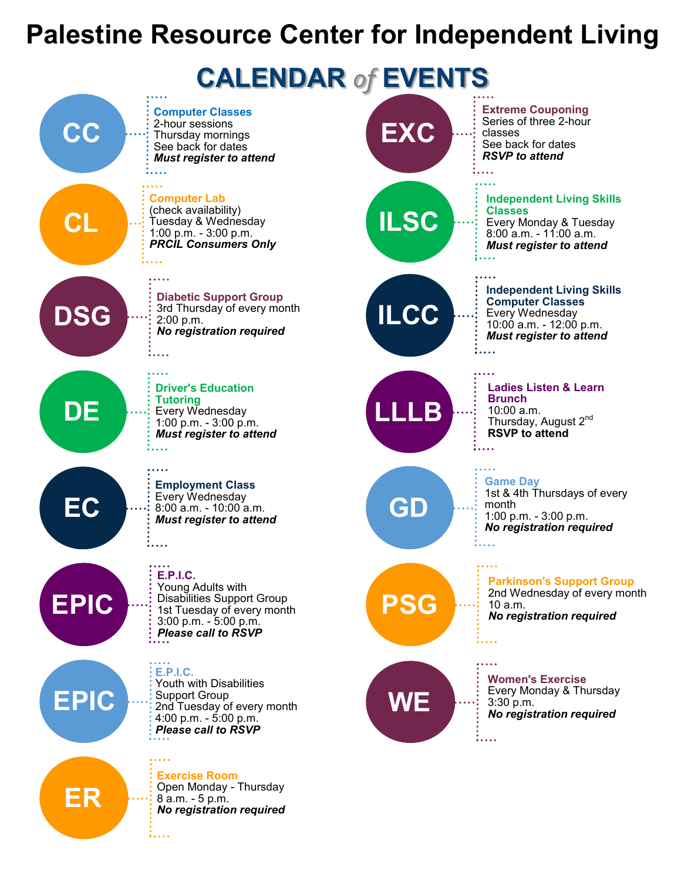#### **Palestine Resource Center for Independent Living**





**EPIC**

**ER**

**E.P.I.C.** Youth with Disabilities Support Group 2nd Tuesday of every month 4:00 p.m. - 5:00 p.m. *Please call to RSVP*

**Exercise Room** Open Monday - Thursday 8 a.m. - 5 p.m. *No registration required*

:....

**Independent Living Skills Computer Classes** Every Wednesday 10:00 a.m. - 12:00 p.m. *Must register to attend*

> **Ladies Listen & Learn Brunch** 10:00 a.m. Thursday, August 2<sup>nd</sup> **RSVP to attend**

**Game Day** 1st & 4th Thursdays of every month 1:00 p.m. - 3:00 p.m. *No registration required*



# **WE**

**Women's Exercise** Every Monday & Thursday 3:30 p.m. *No registration required*

 $\frac{1}{2}$ ...